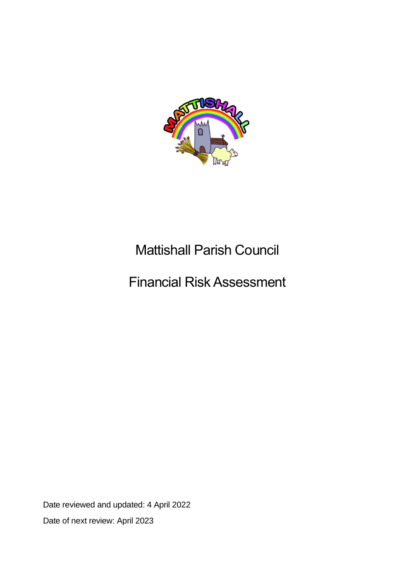

# Mattishall Parish Council

## Financial Risk Assessment

Date reviewed and updated: 4 April 2022 Date of next review: April 2023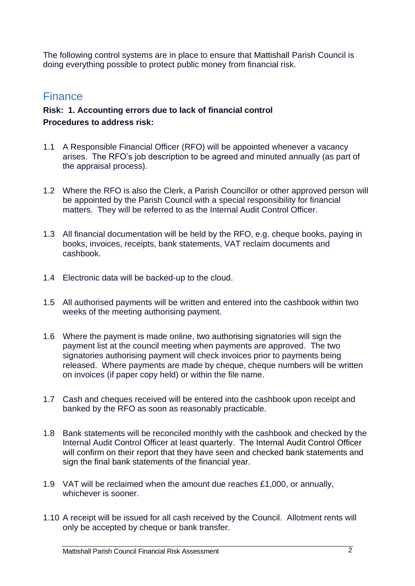The following control systems are in place to ensure that Mattishall Parish Council is doing everything possible to protect public money from financial risk.

### **Finance**

#### **Risk: 1. Accounting errors due to lack of financial control Procedures to address risk:**

- 1.1 A Responsible Financial Officer (RFO) will be appointed whenever a vacancy arises. The RFO's job description to be agreed and minuted annually (as part of the appraisal process).
- 1.2 Where the RFO is also the Clerk, a Parish Councillor or other approved person will be appointed by the Parish Council with a special responsibility for financial matters. They will be referred to as the Internal Audit Control Officer.
- 1.3 All financial documentation will be held by the RFO, e.g. cheque books, paying in books, invoices, receipts, bank statements, VAT reclaim documents and cashbook.
- 1.4 Electronic data will be backed-up to the cloud.
- 1.5 All authorised payments will be written and entered into the cashbook within two weeks of the meeting authorising payment.
- 1.6 Where the payment is made online, two authorising signatories will sign the payment list at the council meeting when payments are approved. The two signatories authorising payment will check invoices prior to payments being released. Where payments are made by cheque, cheque numbers will be written on invoices (if paper copy held) or within the file name.
- 1.7 Cash and cheques received will be entered into the cashbook upon receipt and banked by the RFO as soon as reasonably practicable.
- 1.8 Bank statements will be reconciled monthly with the cashbook and checked by the Internal Audit Control Officer at least quarterly. The Internal Audit Control Officer will confirm on their report that they have seen and checked bank statements and sign the final bank statements of the financial year.
- 1.9 VAT will be reclaimed when the amount due reaches £1,000, or annually, whichever is sooner.
- 1.10 A receipt will be issued for all cash received by the Council. Allotment rents will only be accepted by cheque or bank transfer.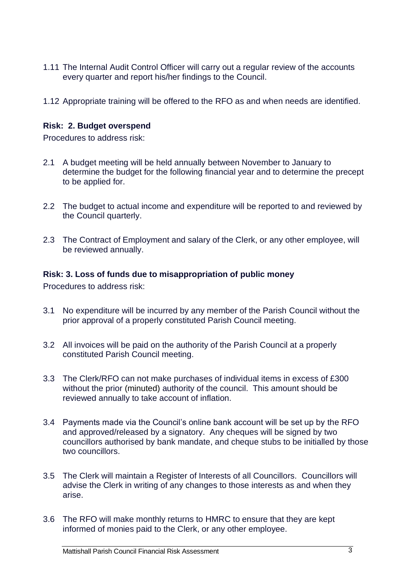- 1.11 The Internal Audit Control Officer will carry out a regular review of the accounts every quarter and report his/her findings to the Council.
- 1.12 Appropriate training will be offered to the RFO as and when needs are identified.

#### **Risk: 2. Budget overspend**

Procedures to address risk:

- 2.1 A budget meeting will be held annually between November to January to determine the budget for the following financial year and to determine the precept to be applied for.
- 2.2 The budget to actual income and expenditure will be reported to and reviewed by the Council quarterly.
- 2.3 The Contract of Employment and salary of the Clerk, or any other employee, will be reviewed annually.

#### **Risk: 3. Loss of funds due to misappropriation of public money**

Procedures to address risk:

- 3.1 No expenditure will be incurred by any member of the Parish Council without the prior approval of a properly constituted Parish Council meeting.
- 3.2 All invoices will be paid on the authority of the Parish Council at a properly constituted Parish Council meeting.
- 3.3 The Clerk/RFO can not make purchases of individual items in excess of £300 without the prior (minuted) authority of the council. This amount should be reviewed annually to take account of inflation.
- 3.4 Payments made via the Council's online bank account will be set up by the RFO and approved/released by a signatory. Any cheques will be signed by two councillors authorised by bank mandate, and cheque stubs to be initialled by those two councillors.
- 3.5 The Clerk will maintain a Register of Interests of all Councillors. Councillors will advise the Clerk in writing of any changes to those interests as and when they arise.
- 3.6 The RFO will make monthly returns to HMRC to ensure that they are kept informed of monies paid to the Clerk, or any other employee.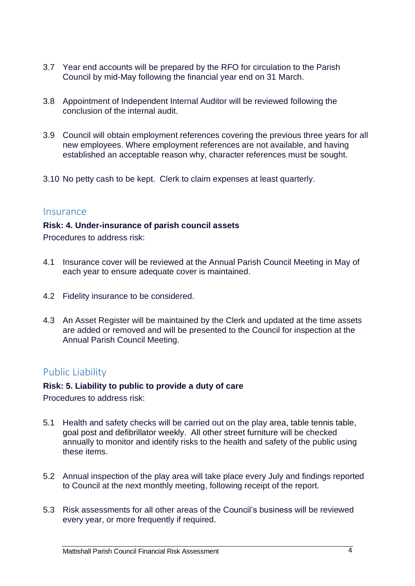- 3.7 Year end accounts will be prepared by the RFO for circulation to the Parish Council by mid-May following the financial year end on 31 March.
- 3.8 Appointment of Independent Internal Auditor will be reviewed following the conclusion of the internal audit.
- 3.9 Council will obtain employment references covering the previous three years for all new employees. Where employment references are not available, and having established an acceptable reason why, character references must be sought.
- 3.10 No petty cash to be kept. Clerk to claim expenses at least quarterly.

#### **Insurance**

#### **Risk: 4. Under-insurance of parish council assets**

Procedures to address risk:

- 4.1 Insurance cover will be reviewed at the Annual Parish Council Meeting in May of each year to ensure adequate cover is maintained.
- 4.2 Fidelity insurance to be considered.
- 4.3 An Asset Register will be maintained by the Clerk and updated at the time assets are added or removed and will be presented to the Council for inspection at the Annual Parish Council Meeting.

### Public Liability

#### **Risk: 5. Liability to public to provide a duty of care**

Procedures to address risk:

- 5.1 Health and safety checks will be carried out on the play area, table tennis table, goal post and defibrillator weekly. All other street furniture will be checked annually to monitor and identify risks to the health and safety of the public using these items.
- 5.2 Annual inspection of the play area will take place every July and findings reported to Council at the next monthly meeting, following receipt of the report.
- 5.3 Risk assessments for all other areas of the Council's business will be reviewed every year, or more frequently if required.